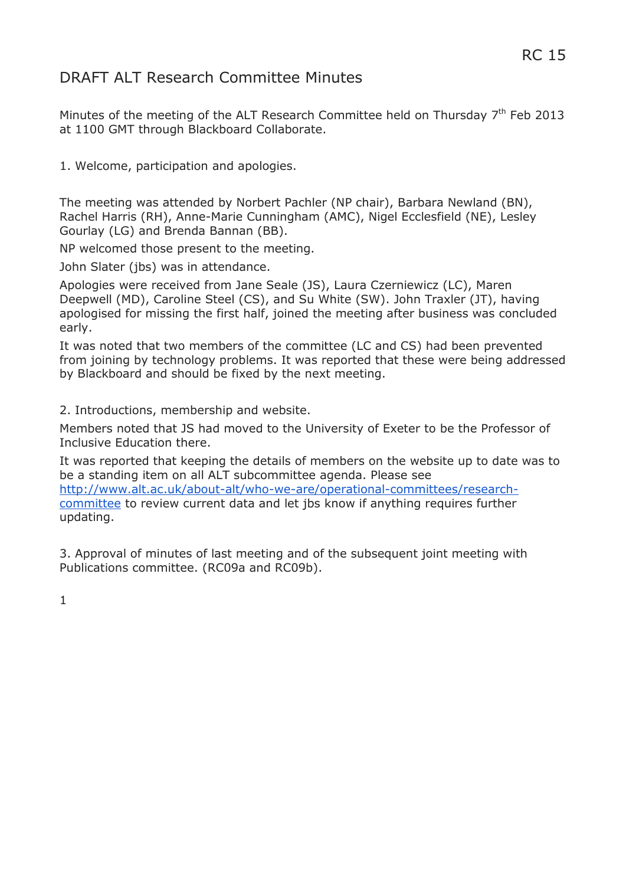# DRAFT ALT Research Committee Minutes

Minutes of the meeting of the ALT Research Committee held on Thursday  $7<sup>th</sup>$  Feb 2013 at 1100 GMT through Blackboard Collaborate.

1. Welcome, participation and apologies.

The meeting was attended by Norbert Pachler (NP chair), Barbara Newland (BN), Rachel Harris (RH), Anne-Marie Cunningham (AMC), Nigel Ecclesfield (NE), Lesley Gourlay (LG) and Brenda Bannan (BB).

NP welcomed those present to the meeting.

John Slater (jbs) was in attendance.

Apologies were received from Jane Seale (JS), Laura Czerniewicz (LC), Maren Deepwell (MD), Caroline Steel (CS), and Su White (SW). John Traxler (JT), having apologised for missing the first half, joined the meeting after business was concluded early.

It was noted that two members of the committee (LC and CS) had been prevented from joining by technology problems. It was reported that these were being addressed by Blackboard and should be fixed by the next meeting.

2. Introductions, membership and website.

Members noted that JS had moved to the University of Exeter to be the Professor of Inclusive Education there.

It was reported that keeping the details of members on the website up to date was to be a standing item on all ALT subcommittee agenda. Please see [http://www.alt.ac.uk/about-alt/who-we-are/operational-committees/research-](http://www.alt.ac.uk/about-alt/who-we-are/operational-committees/research-committee)

[committee](http://www.alt.ac.uk/about-alt/who-we-are/operational-committees/research-committee) to review current data and let jbs know if anything requires further updating.

3. Approval of minutes of last meeting and of the subsequent joint meeting with Publications committee. (RC09a and RC09b).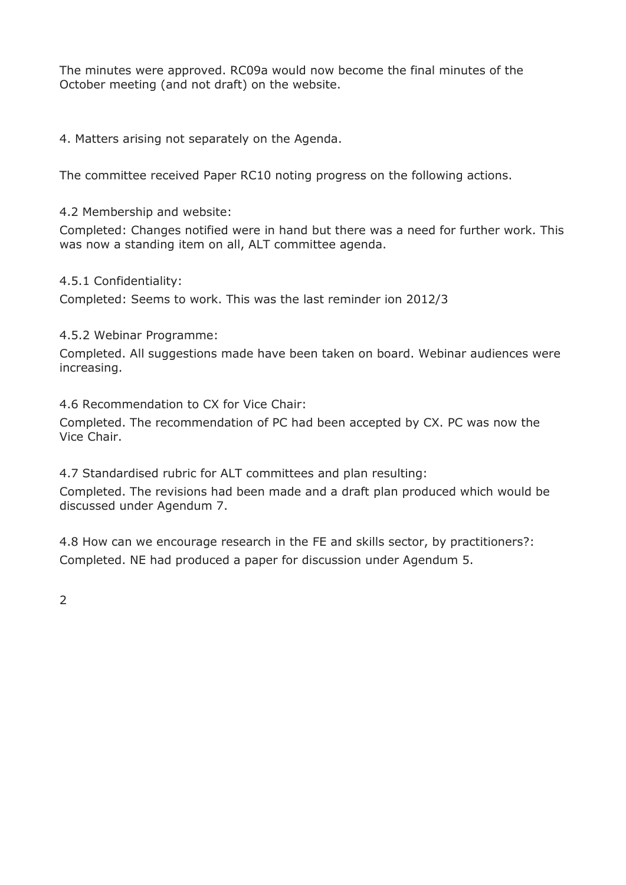The minutes were approved. RC09a would now become the final minutes of the October meeting (and not draft) on the website.

4. Matters arising not separately on the Agenda.

The committee received Paper RC10 noting progress on the following actions.

4.2 Membership and website:

Completed: Changes notified were in hand but there was a need for further work. This was now a standing item on all, ALT committee agenda.

4.5.1 Confidentiality:

Completed: Seems to work. This was the last reminder ion 2012/3

# 4.5.2 Webinar Programme:

Completed. All suggestions made have been taken on board. Webinar audiences were increasing.

4.6 Recommendation to CX for Vice Chair:

Completed. The recommendation of PC had been accepted by CX. PC was now the Vice Chair.

4.7 Standardised rubric for ALT committees and plan resulting:

Completed. The revisions had been made and a draft plan produced which would be discussed under Agendum 7.

4.8 How can we encourage research in the FE and skills sector, by practitioners?: Completed. NE had produced a paper for discussion under Agendum 5.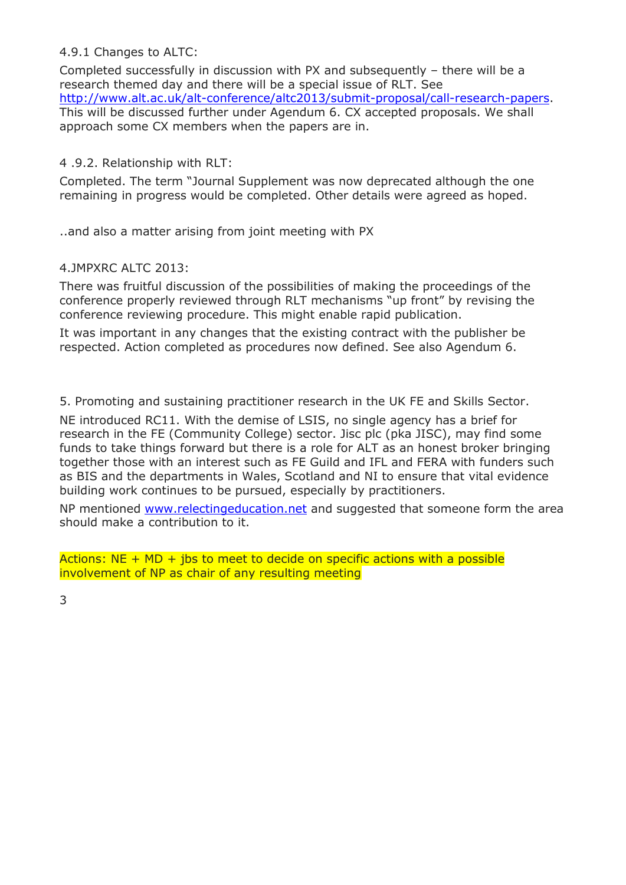# 4.9.1 Changes to ALTC:

Completed successfully in discussion with PX and subsequently – there will be a research themed day and there will be a special issue of RLT. See [http://www.alt.ac.uk/alt-conference/altc2013/submit-proposal/call-research-papers.](http://www.alt.ac.uk/alt-conference/altc2013/submit-proposal/call-research-papers) This will be discussed further under Agendum 6. CX accepted proposals. We shall approach some CX members when the papers are in.

## 4 .9.2. Relationship with RLT:

Completed. The term "Journal Supplement was now deprecated although the one remaining in progress would be completed. Other details were agreed as hoped.

..and also a matter arising from joint meeting with PX

#### 4.JMPXRC ALTC 2013:

There was fruitful discussion of the possibilities of making the proceedings of the conference properly reviewed through RLT mechanisms "up front" by revising the conference reviewing procedure. This might enable rapid publication.

It was important in any changes that the existing contract with the publisher be respected. Action completed as procedures now defined. See also Agendum 6.

5. Promoting and sustaining practitioner research in the UK FE and Skills Sector.

NE introduced RC11. With the demise of LSIS, no single agency has a brief for research in the FE (Community College) sector. Jisc plc (pka JISC), may find some funds to take things forward but there is a role for ALT as an honest broker bringing together those with an interest such as FE Guild and IFL and FERA with funders such as BIS and the departments in Wales, Scotland and NI to ensure that vital evidence building work continues to be pursued, especially by practitioners.

NP mentioned [www.relectingeducation.net](http://www.relectingeducation.net/) and suggested that someone form the area should make a contribution to it.

Actions:  $NE + MD + ibs$  to meet to decide on specific actions with a possible involvement of NP as chair of any resulting meeting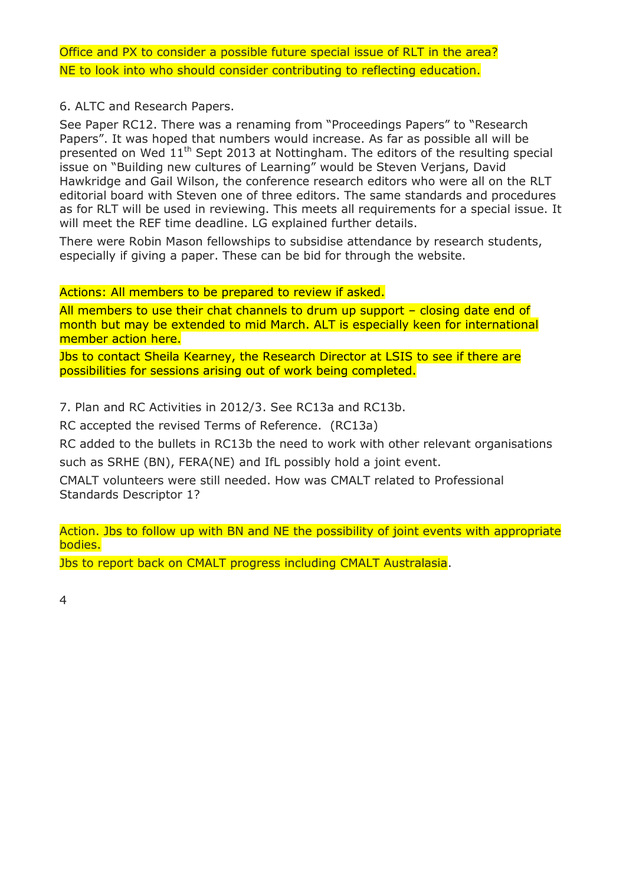Office and PX to consider a possible future special issue of RLT in the area? NE to look into who should consider contributing to reflecting education.

# 6. ALTC and Research Papers.

See Paper RC12. There was a renaming from "Proceedings Papers" to "Research Papers". It was hoped that numbers would increase. As far as possible all will be presented on Wed  $11<sup>th</sup>$  Sept 2013 at Nottingham. The editors of the resulting special issue on "Building new cultures of Learning" would be Steven Verjans, David Hawkridge and Gail Wilson, the conference research editors who were all on the RLT editorial board with Steven one of three editors. The same standards and procedures as for RLT will be used in reviewing. This meets all requirements for a special issue. It will meet the REF time deadline. LG explained further details.

There were Robin Mason fellowships to subsidise attendance by research students, especially if giving a paper. These can be bid for through the website.

#### Actions: All members to be prepared to review if asked.

All members to use their chat channels to drum up support - closing date end of month but may be extended to mid March. ALT is especially keen for international member action here.

Jbs to contact Sheila Kearney, the Research Director at LSIS to see if there are possibilities for sessions arising out of work being completed.

7. Plan and RC Activities in 2012/3. See RC13a and RC13b.

RC accepted the revised Terms of Reference. (RC13a)

RC added to the bullets in RC13b the need to work with other relevant organisations such as SRHE (BN), FERA(NE) and IfL possibly hold a joint event.

CMALT volunteers were still needed. How was CMALT related to Professional Standards Descriptor 1?

Action. Jbs to follow up with BN and NE the possibility of joint events with appropriate bodies.

Jbs to report back on CMALT progress including CMALT Australasia.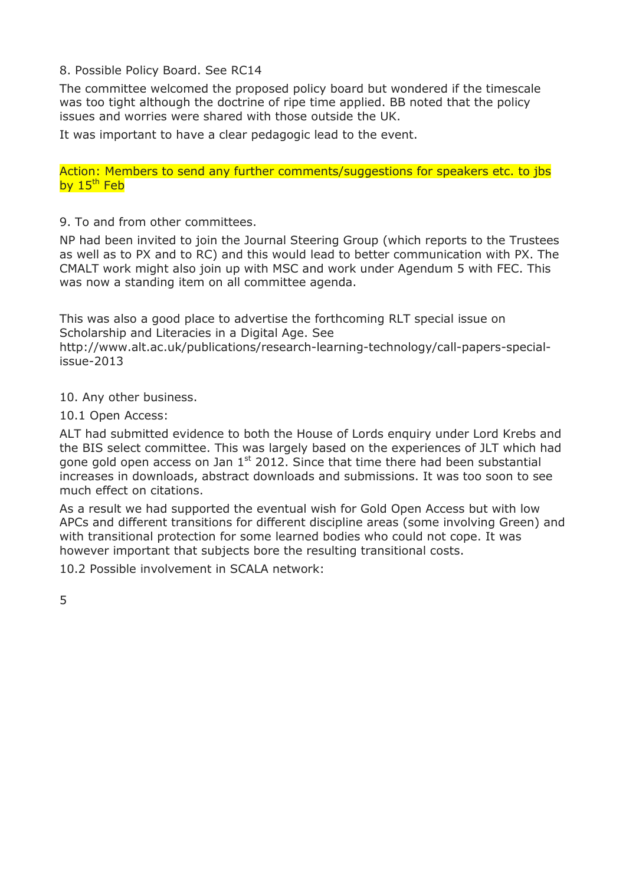#### 8. Possible Policy Board. See RC14

The committee welcomed the proposed policy board but wondered if the timescale was too tight although the doctrine of ripe time applied. BB noted that the policy issues and worries were shared with those outside the UK.

It was important to have a clear pedagogic lead to the event.

Action: Members to send any further comments/suggestions for speakers etc. to jbs by  $15<sup>th</sup>$  Feb

9. To and from other committees.

NP had been invited to join the Journal Steering Group (which reports to the Trustees as well as to PX and to RC) and this would lead to better communication with PX. The CMALT work might also join up with MSC and work under Agendum 5 with FEC. This was now a standing item on all committee agenda.

This was also a good place to advertise the forthcoming RLT special issue on Scholarship and Literacies in a Digital Age. See

http://www.alt.ac.uk/publications/research-learning-technology/call-papers-specialissue-2013

10. Any other business.

10.1 Open Access:

ALT had submitted evidence to both the House of Lords enquiry under Lord Krebs and the BIS select committee. This was largely based on the experiences of JLT which had gone gold open access on Jan  $1<sup>st</sup>$  2012. Since that time there had been substantial increases in downloads, abstract downloads and submissions. It was too soon to see much effect on citations.

As a result we had supported the eventual wish for Gold Open Access but with low APCs and different transitions for different discipline areas (some involving Green) and with transitional protection for some learned bodies who could not cope. It was however important that subjects bore the resulting transitional costs.

10.2 Possible involvement in SCALA network: